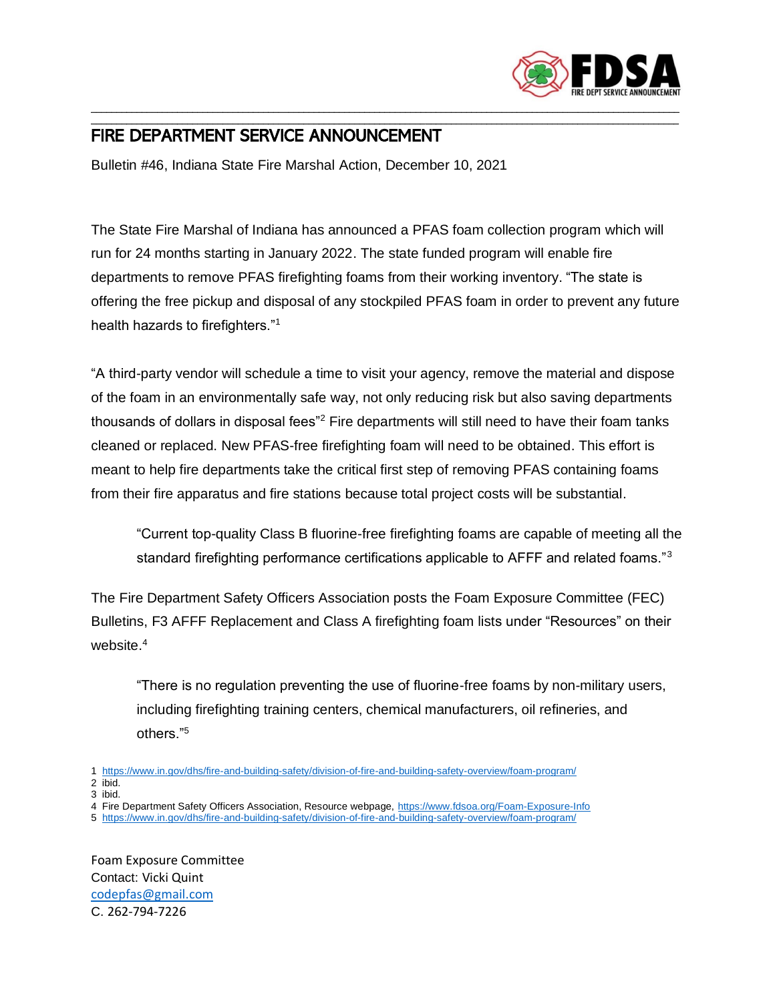

## \_\_\_\_\_\_\_\_\_\_\_\_\_\_\_\_\_\_\_\_\_\_\_\_\_\_\_\_\_\_\_\_\_\_\_\_\_\_\_\_\_\_\_\_\_\_\_\_\_\_\_\_\_\_\_\_\_\_\_\_\_\_\_\_\_\_\_\_\_\_\_\_\_\_\_\_\_\_\_\_\_\_\_\_\_\_\_\_\_\_\_\_\_\_\_\_\_\_\_\_\_\_\_\_\_\_\_\_\_\_\_\_\_\_\_\_ FIRE DEPARTMENT SERVICE ANNOUNCEMENT

Bulletin #46, Indiana State Fire Marshal Action, December 10, 2021

The State Fire Marshal of Indiana has announced a PFAS foam collection program which will run for 24 months starting in January 2022. The state funded program will enable fire departments to remove PFAS firefighting foams from their working inventory. "The state is offering the free pickup and disposal of any stockpiled PFAS foam in order to prevent any future health hazards to firefighters."<sup>1</sup>

\_\_\_\_\_\_\_\_\_\_\_\_\_\_\_\_\_\_\_\_\_\_\_\_\_\_\_\_\_\_\_\_\_\_\_\_\_\_\_\_\_\_\_\_\_\_\_\_\_\_\_\_\_\_\_\_\_\_\_\_\_\_\_\_\_\_\_\_\_\_\_\_\_\_\_\_\_\_\_\_\_\_\_\_\_\_\_\_\_\_\_\_\_\_\_\_\_\_\_\_\_\_\_\_\_\_\_\_\_\_\_\_\_\_\_\_

"A third-party vendor will schedule a time to visit your agency, remove the material and dispose of the foam in an environmentally safe way, not only reducing risk but also saving departments thousands of dollars in disposal fees"<sup>2</sup> Fire departments will still need to have their foam tanks cleaned or replaced. New PFAS-free firefighting foam will need to be obtained. This effort is meant to help fire departments take the critical first step of removing PFAS containing foams from their fire apparatus and fire stations because total project costs will be substantial.

"Current top-quality Class B fluorine-free firefighting foams are capable of meeting all the standard firefighting performance certifications applicable to AFFF and related foams."<sup>3</sup>

The Fire Department Safety Officers Association posts the Foam Exposure Committee (FEC) Bulletins, F3 AFFF Replacement and Class A firefighting foam lists under "Resources" on their website. 4

"There is no regulation preventing the use of fluorine-free foams by non-military users, including firefighting training centers, chemical manufacturers, oil refineries, and others."<sup>5</sup>

2 ibid. 3 ibid.

4 Fire Department Safety Officers Association, Resource webpage,<https://www.fdsoa.org/Foam-Exposure-Info>

Foam Exposure Committee Contact: Vicki Quint [codepfas@gmail.com](mailto:codepfas@gmail.com) C. 262-794-7226

<sup>1</sup> <https://www.in.gov/dhs/fire-and-building-safety/division-of-fire-and-building-safety-overview/foam-program/>

<sup>5</sup> <https://www.in.gov/dhs/fire-and-building-safety/division-of-fire-and-building-safety-overview/foam-program/>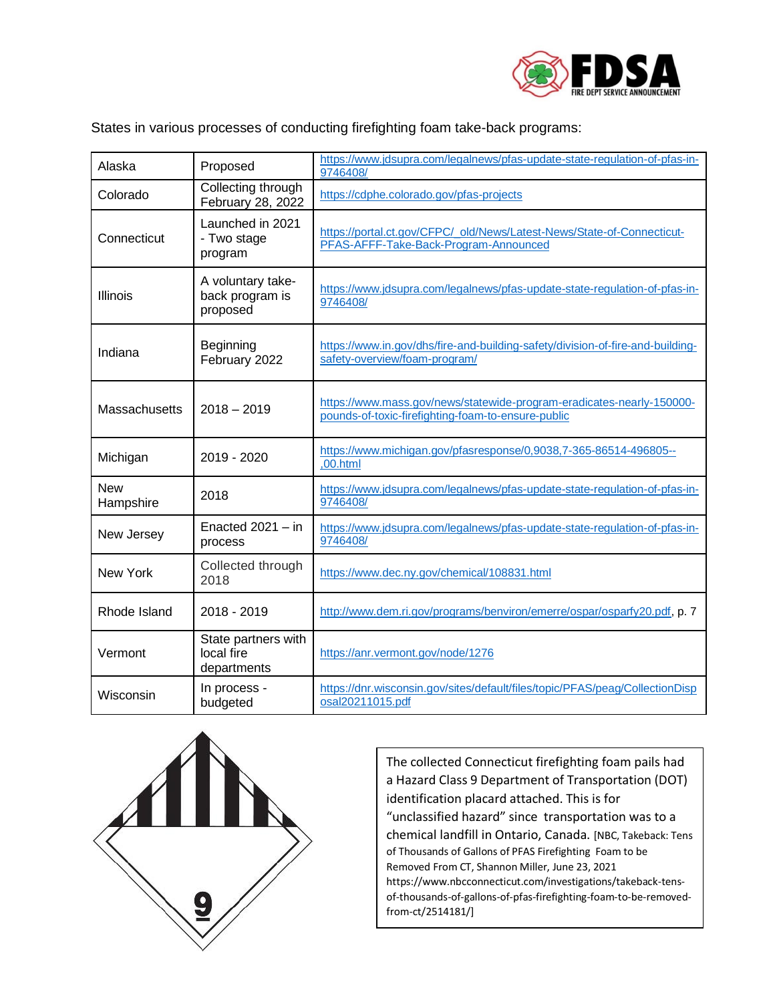

States in various processes of conducting firefighting foam take-back programs:

| Alaska                  | Proposed                                         | https://www.jdsupra.com/legalnews/pfas-update-state-regulation-of-pfas-in-<br>9746408/                                      |
|-------------------------|--------------------------------------------------|-----------------------------------------------------------------------------------------------------------------------------|
| Colorado                | Collecting through<br>February 28, 2022          | https://cdphe.colorado.gov/pfas-projects                                                                                    |
| Connecticut             | Launched in 2021<br>- Two stage<br>program       | https://portal.ct.gov/CFPC/_old/News/Latest-News/State-of-Connecticut-<br>PFAS-AFFF-Take-Back-Program-Announced             |
| Illinois                | A voluntary take-<br>back program is<br>proposed | https://www.jdsupra.com/legalnews/pfas-update-state-regulation-of-pfas-in-<br>9746408/                                      |
| Indiana                 | Beginning<br>February 2022                       | https://www.in.gov/dhs/fire-and-building-safety/division-of-fire-and-building-<br>safety-overview/foam-program/             |
| Massachusetts           | $2018 - 2019$                                    | https://www.mass.gov/news/statewide-program-eradicates-nearly-150000-<br>pounds-of-toxic-firefighting-foam-to-ensure-public |
| Michigan                | 2019 - 2020                                      | https://www.michigan.gov/pfasresponse/0,9038,7-365-86514-496805--<br>,00.html                                               |
| <b>New</b><br>Hampshire | 2018                                             | https://www.jdsupra.com/legalnews/pfas-update-state-regulation-of-pfas-in-<br>9746408/                                      |
| New Jersey              | Enacted $2021 - in$<br>process                   | https://www.jdsupra.com/legalnews/pfas-update-state-regulation-of-pfas-in-<br>9746408/                                      |
| New York                | Collected through<br>2018                        | https://www.dec.ny.gov/chemical/108831.html                                                                                 |
| Rhode Island            | 2018 - 2019                                      | http://www.dem.ri.gov/programs/benviron/emerre/ospar/osparfy20.pdf, p. 7                                                    |
| Vermont                 | State partners with<br>local fire<br>departments | https://anr.vermont.gov/node/1276                                                                                           |
| Wisconsin               | In process -<br>budgeted                         | https://dnr.wisconsin.gov/sites/default/files/topic/PFAS/peag/CollectionDisp<br>osal20211015.pdf                            |



The collected Connecticut firefighting foam pails had a Hazard Class 9 Department of Transportation (DOT) identification placard attached. This is for "unclassified hazard" since transportation was to a chemical landfill in Ontario, Canada. [NBC, Takeback: Tens of Thousands of Gallons of PFAS Firefighting Foam to be Removed From CT, Shannon Miller, June 23, 2021 https://www.nbcconnecticut.com/investigations/takeback-tensof-thousands-of-gallons-of-pfas-firefighting-foam-to-be-removedfrom-ct/2514181/]